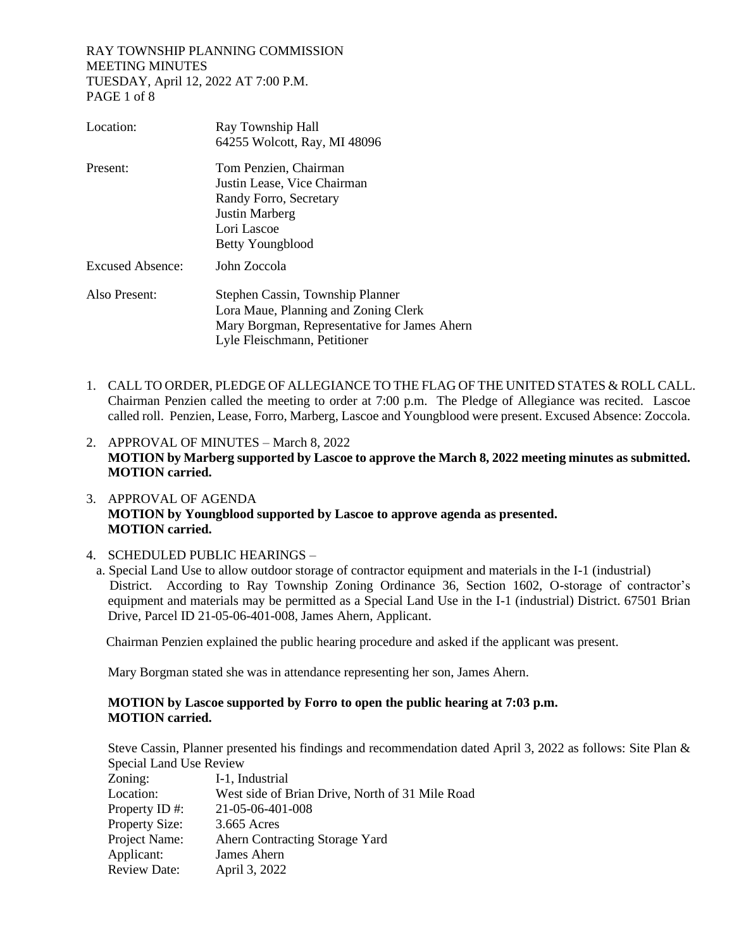### RAY TOWNSHIP PLANNING COMMISSION MEETING MINUTES TUESDAY, April 12, 2022 AT 7:00 P.M. PAGE 1 of 8

| Location:               | Ray Township Hall                                                            |
|-------------------------|------------------------------------------------------------------------------|
|                         | 64255 Wolcott, Ray, MI 48096                                                 |
| Present:                | Tom Penzien, Chairman<br>Justin Lease, Vice Chairman                         |
|                         | Randy Forro, Secretary                                                       |
|                         | Justin Marberg                                                               |
|                         | Lori Lascoe                                                                  |
|                         | Betty Youngblood                                                             |
| <b>Excused Absence:</b> | John Zoccola                                                                 |
| Also Present:           | Stephen Cassin, Township Planner                                             |
|                         | Lora Maue, Planning and Zoning Clerk                                         |
|                         | Mary Borgman, Representative for James Ahern<br>Lyle Fleischmann, Petitioner |
|                         |                                                                              |

- 1. CALL TO ORDER, PLEDGE OF ALLEGIANCE TO THE FLAG OF THE UNITED STATES & ROLL CALL. Chairman Penzien called the meeting to order at 7:00 p.m. The Pledge of Allegiance was recited. Lascoe called roll. Penzien, Lease, Forro, Marberg, Lascoe and Youngblood were present. Excused Absence: Zoccola.
- 2. APPROVAL OF MINUTES March 8, 2022 **MOTION by Marberg supported by Lascoe to approve the March 8, 2022 meeting minutes as submitted. MOTION carried.**
- 3. APPROVAL OF AGENDA **MOTION by Youngblood supported by Lascoe to approve agenda as presented. MOTION carried.**

## 4. SCHEDULED PUBLIC HEARINGS –

 a. Special Land Use to allow outdoor storage of contractor equipment and materials in the I-1 (industrial) District. According to Ray Township Zoning Ordinance 36, Section 1602, O-storage of contractor's equipment and materials may be permitted as a Special Land Use in the I-1 (industrial) District. 67501 Brian Drive, Parcel ID 21-05-06-401-008, James Ahern, Applicant.

Chairman Penzien explained the public hearing procedure and asked if the applicant was present.

Mary Borgman stated she was in attendance representing her son, James Ahern.

## **MOTION by Lascoe supported by Forro to open the public hearing at 7:03 p.m. MOTION carried.**

Steve Cassin, Planner presented his findings and recommendation dated April 3, 2022 as follows: Site Plan & Special Land Use Review

| Zoning:             | I-1, Industrial                                 |
|---------------------|-------------------------------------------------|
| Location:           | West side of Brian Drive, North of 31 Mile Road |
| Property ID#:       | 21-05-06-401-008                                |
| Property Size:      | 3.665 Acres                                     |
| Project Name:       | Ahern Contracting Storage Yard                  |
| Applicant:          | James Ahern                                     |
| <b>Review Date:</b> | April 3, 2022                                   |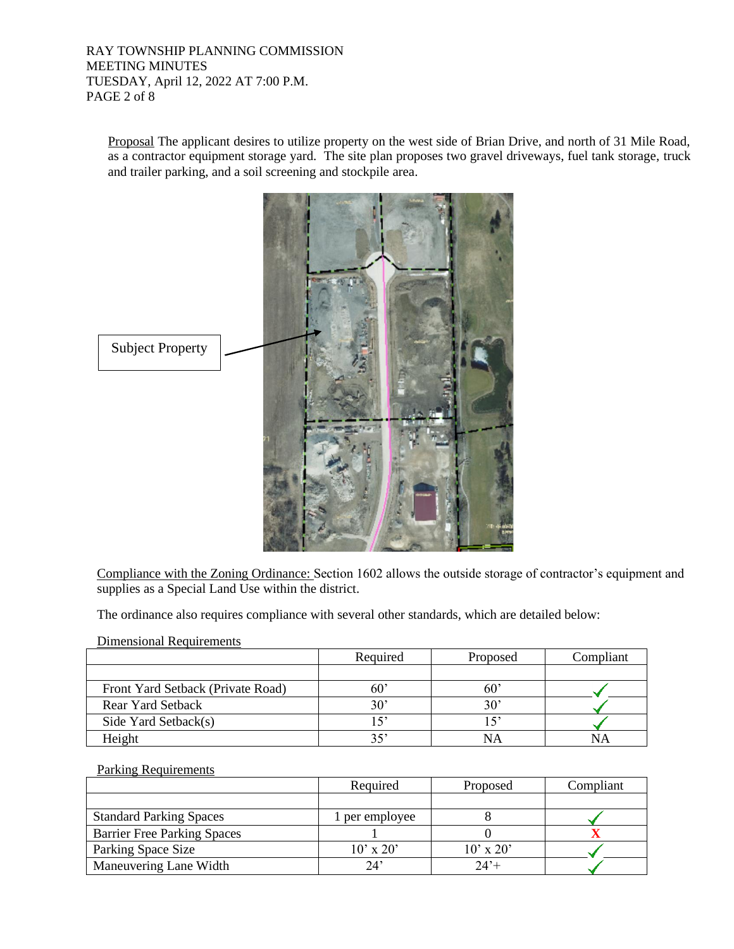RAY TOWNSHIP PLANNING COMMISSION MEETING MINUTES TUESDAY, April 12, 2022 AT 7:00 P.M. PAGE 2 of 8

Proposal The applicant desires to utilize property on the west side of Brian Drive, and north of 31 Mile Road, as a contractor equipment storage yard. The site plan proposes two gravel driveways, fuel tank storage, truck and trailer parking, and a soil screening and stockpile area.



Compliance with the Zoning Ordinance: Section 1602 allows the outside storage of contractor's equipment and supplies as a Special Land Use within the district.

The ordinance also requires compliance with several other standards, which are detailed below:

| Dimensional Requirements |  |
|--------------------------|--|
|                          |  |

|                                   | Required | Proposed | Compliant |
|-----------------------------------|----------|----------|-----------|
|                                   |          |          |           |
| Front Yard Setback (Private Road) |          | 60       |           |
| <b>Rear Yard Setback</b>          | 30'      | 30'      |           |
| Side Yard Setback(s)              |          |          |           |
| Height                            |          |          |           |

#### Parking Requirements

|                                    | Required       | Proposed      | Compliant |
|------------------------------------|----------------|---------------|-----------|
|                                    |                |               |           |
| <b>Standard Parking Spaces</b>     | 1 per employee |               |           |
| <b>Barrier Free Parking Spaces</b> |                |               |           |
| Parking Space Size                 | $10'$ x $20'$  | $10'$ x $20'$ |           |
| Maneuvering Lane Width             | 24'            | $74' +$       |           |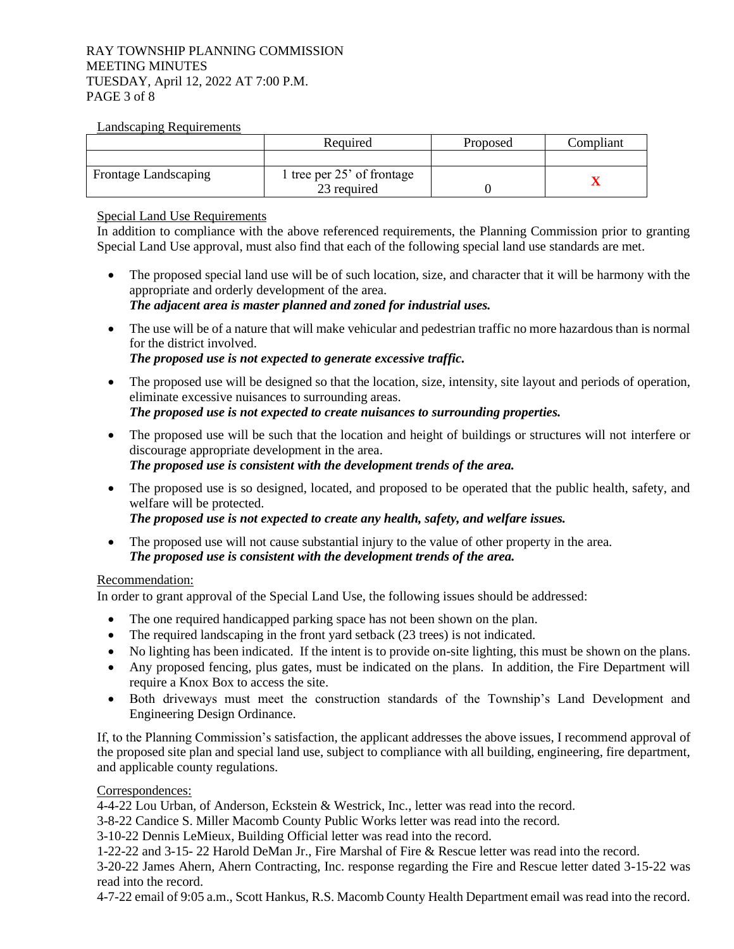### RAY TOWNSHIP PLANNING COMMISSION MEETING MINUTES TUESDAY, April 12, 2022 AT 7:00 P.M. PAGE 3 of 8

### Landscaping Requirements

|                             | Required                   | Proposed | Compliant |
|-----------------------------|----------------------------|----------|-----------|
|                             |                            |          |           |
| <b>Frontage Landscaping</b> | tree per $25'$ of frontage |          |           |
|                             | 23 required                |          |           |

Special Land Use Requirements

In addition to compliance with the above referenced requirements, the Planning Commission prior to granting Special Land Use approval, must also find that each of the following special land use standards are met.

- The proposed special land use will be of such location, size, and character that it will be harmony with the appropriate and orderly development of the area. *The adjacent area is master planned and zoned for industrial uses.*
- The use will be of a nature that will make vehicular and pedestrian traffic no more hazardous than is normal for the district involved. *The proposed use is not expected to generate excessive traffic.*
- The proposed use will be designed so that the location, size, intensity, site layout and periods of operation, eliminate excessive nuisances to surrounding areas. *The proposed use is not expected to create nuisances to surrounding properties.*
- The proposed use will be such that the location and height of buildings or structures will not interfere or discourage appropriate development in the area. *The proposed use is consistent with the development trends of the area.*
- The proposed use is so designed, located, and proposed to be operated that the public health, safety, and welfare will be protected. *The proposed use is not expected to create any health, safety, and welfare issues.*
- The proposed use will not cause substantial injury to the value of other property in the area. *The proposed use is consistent with the development trends of the area.*

# Recommendation:

In order to grant approval of the Special Land Use, the following issues should be addressed:

- The one required handicapped parking space has not been shown on the plan.
- The required landscaping in the front yard setback (23 trees) is not indicated.
- No lighting has been indicated. If the intent is to provide on-site lighting, this must be shown on the plans.
- Any proposed fencing, plus gates, must be indicated on the plans. In addition, the Fire Department will require a Knox Box to access the site.
- Both driveways must meet the construction standards of the Township's Land Development and Engineering Design Ordinance.

If, to the Planning Commission's satisfaction, the applicant addresses the above issues, I recommend approval of the proposed site plan and special land use, subject to compliance with all building, engineering, fire department, and applicable county regulations.

# Correspondences:

4-4-22 Lou Urban, of Anderson, Eckstein & Westrick, Inc., letter was read into the record.

3-8-22 Candice S. Miller Macomb County Public Works letter was read into the record.

3-10-22 Dennis LeMieux, Building Official letter was read into the record.

1-22-22 and 3-15- 22 Harold DeMan Jr., Fire Marshal of Fire & Rescue letter was read into the record.

3-20-22 James Ahern, Ahern Contracting, Inc. response regarding the Fire and Rescue letter dated 3-15-22 was read into the record.

4-7-22 email of 9:05 a.m., Scott Hankus, R.S. Macomb County Health Department email was read into the record.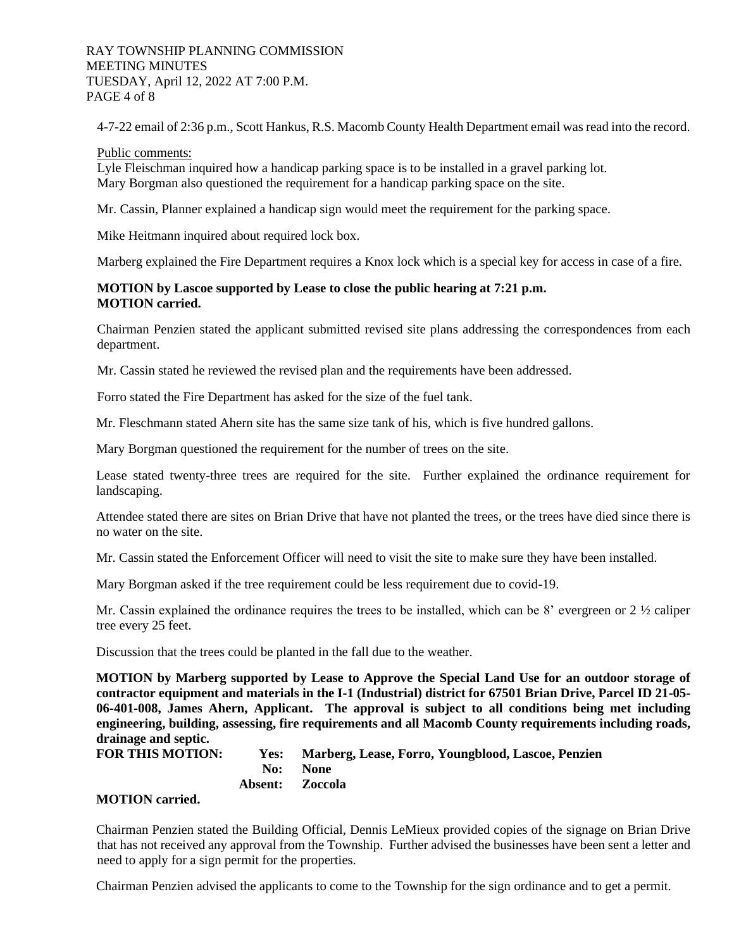### RAY TOWNSHIP PLANNING COMMISSION MEETING MINUTES TUESDAY, April 12, 2022 AT 7:00 P.M. PAGE 4 of 8

4-7-22 email of 2:36 p.m., Scott Hankus, R.S. Macomb County Health Department email was read into the record.

#### Public comments:

Lyle Fleischman inquired how a handicap parking space is to be installed in a gravel parking lot. Mary Borgman also questioned the requirement for a handicap parking space on the site.

Mr. Cassin, Planner explained a handicap sign would meet the requirement for the parking space.

Mike Heitmann inquired about required lock box.

Marberg explained the Fire Department requires a Knox lock which is a special key for access in case of a fire.

## **MOTION by Lascoe supported by Lease to close the public hearing at 7:21 p.m. MOTION carried.**

Chairman Penzien stated the applicant submitted revised site plans addressing the correspondences from each department.

Mr. Cassin stated he reviewed the revised plan and the requirements have been addressed.

Forro stated the Fire Department has asked for the size of the fuel tank.

Mr. Fleschmann stated Ahern site has the same size tank of his, which is five hundred gallons.

Mary Borgman questioned the requirement for the number of trees on the site.

Lease stated twenty-three trees are required for the site. Further explained the ordinance requirement for landscaping.

Attendee stated there are sites on Brian Drive that have not planted the trees, or the trees have died since there is no water on the site.

Mr. Cassin stated the Enforcement Officer will need to visit the site to make sure they have been installed.

Mary Borgman asked if the tree requirement could be less requirement due to covid-19.

Mr. Cassin explained the ordinance requires the trees to be installed, which can be 8' evergreen or  $2\frac{1}{2}$  caliper tree every 25 feet.

Discussion that the trees could be planted in the fall due to the weather.

**MOTION by Marberg supported by Lease to Approve the Special Land Use for an outdoor storage of contractor equipment and materials in the I-1 (Industrial) district for 67501 Brian Drive, Parcel ID 21-05- 06-401-008, James Ahern, Applicant. The approval is subject to all conditions being met including engineering, building, assessing, fire requirements and all Macomb County requirements including roads, drainage and septic.**

```
FOR THIS MOTION: Yes: Marberg, Lease, Forro, Youngblood, Lascoe, Penzien
           No: None
         Absent: Zoccola
```
## **MOTION carried.**

Chairman Penzien stated the Building Official, Dennis LeMieux provided copies of the signage on Brian Drive that has not received any approval from the Township. Further advised the businesses have been sent a letter and need to apply for a sign permit for the properties.

Chairman Penzien advised the applicants to come to the Township for the sign ordinance and to get a permit.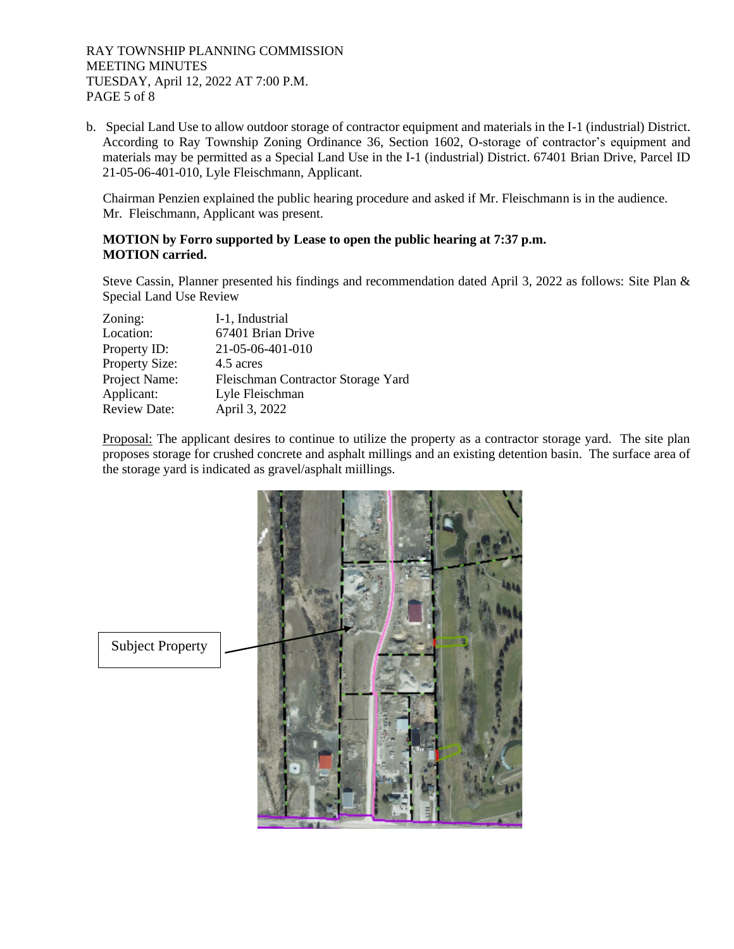b. Special Land Use to allow outdoor storage of contractor equipment and materials in the I-1 (industrial) District. According to Ray Township Zoning Ordinance 36, Section 1602, O-storage of contractor's equipment and materials may be permitted as a Special Land Use in the I-1 (industrial) District. 67401 Brian Drive, Parcel ID 21-05-06-401-010, Lyle Fleischmann, Applicant.

 Chairman Penzien explained the public hearing procedure and asked if Mr. Fleischmann is in the audience. Mr. Fleischmann, Applicant was present.

## **MOTION by Forro supported by Lease to open the public hearing at 7:37 p.m. MOTION carried.**

Steve Cassin, Planner presented his findings and recommendation dated April 3, 2022 as follows: Site Plan & Special Land Use Review

| Zoning:               | I-1, Industrial                    |
|-----------------------|------------------------------------|
| Location:             | 67401 Brian Drive                  |
| Property ID:          | 21-05-06-401-010                   |
| <b>Property Size:</b> | 4.5 acres                          |
| Project Name:         | Fleischman Contractor Storage Yard |
| Applicant:            | Lyle Fleischman                    |
| <b>Review Date:</b>   | April 3, 2022                      |

Proposal: The applicant desires to continue to utilize the property as a contractor storage yard. The site plan proposes storage for crushed concrete and asphalt millings and an existing detention basin. The surface area of the storage yard is indicated as gravel/asphalt miillings.

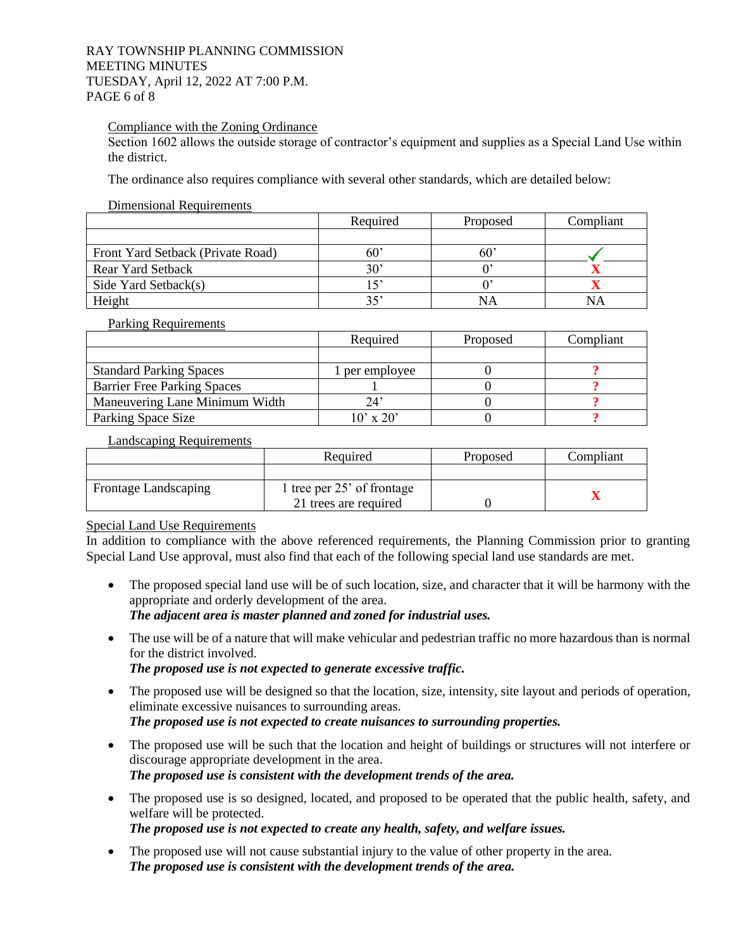#### RAY TOWNSHIP PLANNING COMMISSION MEETING MINUTES TUESDAY, April 12, 2022 AT 7:00 P.M. PAGE 6 of 8

## Compliance with the Zoning Ordinance

Section 1602 allows the outside storage of contractor's equipment and supplies as a Special Land Use within the district.

The ordinance also requires compliance with several other standards, which are detailed below:

#### Dimensional Requirements

|                                   | Required     | Proposed | Compliant |
|-----------------------------------|--------------|----------|-----------|
|                                   |              |          |           |
| Front Yard Setback (Private Road) | 60.          |          |           |
| Rear Yard Setback                 | $30^{\circ}$ |          |           |
| Side Yard Setback(s)              |              |          |           |
| Height                            |              |          | NΑ        |

Parking Requirements

|                                    | Required         | Proposed | Compliant |
|------------------------------------|------------------|----------|-----------|
|                                    |                  |          |           |
| <b>Standard Parking Spaces</b>     | per employee     |          |           |
| <b>Barrier Free Parking Spaces</b> |                  |          |           |
| Maneuvering Lane Minimum Width     |                  |          |           |
| Parking Space Size                 | $10' \times 20'$ |          |           |

#### Landscaping Requirements

|                             | Required                   | Proposed | Compliant |
|-----------------------------|----------------------------|----------|-----------|
|                             |                            |          |           |
| <b>Frontage Landscaping</b> | l tree per 25' of frontage |          |           |
|                             | 21 trees are required      |          |           |

## Special Land Use Requirements

In addition to compliance with the above referenced requirements, the Planning Commission prior to granting Special Land Use approval, must also find that each of the following special land use standards are met.

- The proposed special land use will be of such location, size, and character that it will be harmony with the appropriate and orderly development of the area. *The adjacent area is master planned and zoned for industrial uses.*
- The use will be of a nature that will make vehicular and pedestrian traffic no more hazardous than is normal for the district involved.

*The proposed use is not expected to generate excessive traffic.*

- The proposed use will be designed so that the location, size, intensity, site layout and periods of operation, eliminate excessive nuisances to surrounding areas. *The proposed use is not expected to create nuisances to surrounding properties.*
- The proposed use will be such that the location and height of buildings or structures will not interfere or discourage appropriate development in the area. *The proposed use is consistent with the development trends of the area.*
- The proposed use is so designed, located, and proposed to be operated that the public health, safety, and welfare will be protected.

*The proposed use is not expected to create any health, safety, and welfare issues.*

• The proposed use will not cause substantial injury to the value of other property in the area. *The proposed use is consistent with the development trends of the area.*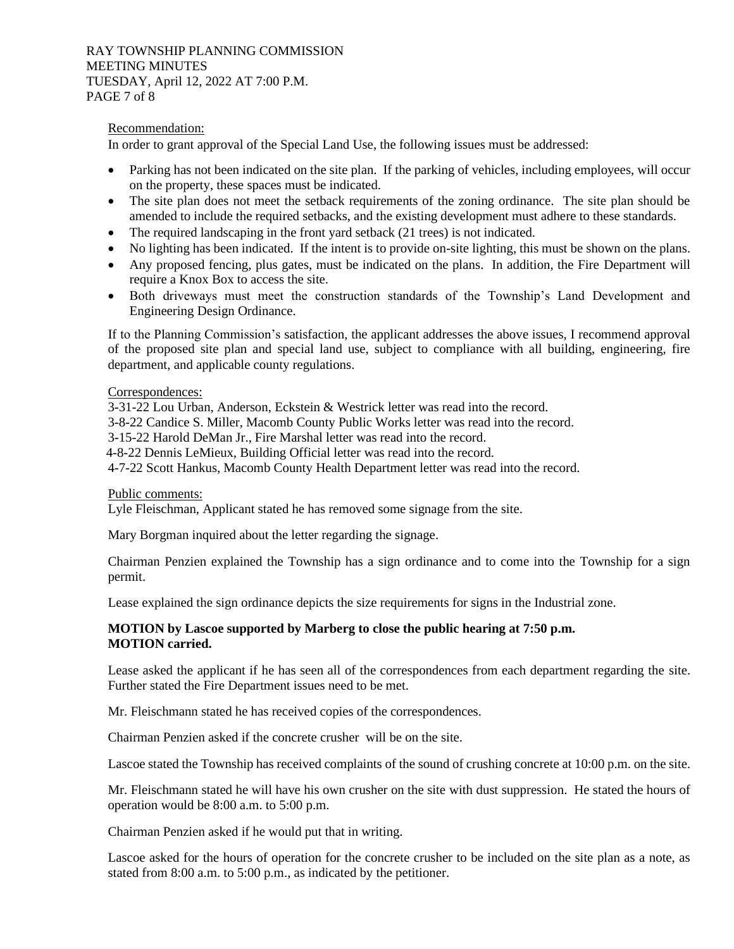### RAY TOWNSHIP PLANNING COMMISSION MEETING MINUTES TUESDAY, April 12, 2022 AT 7:00 P.M. PAGE 7 of 8

## Recommendation:

In order to grant approval of the Special Land Use, the following issues must be addressed:

- Parking has not been indicated on the site plan. If the parking of vehicles, including employees, will occur on the property, these spaces must be indicated.
- The site plan does not meet the setback requirements of the zoning ordinance. The site plan should be amended to include the required setbacks, and the existing development must adhere to these standards.
- The required landscaping in the front yard setback (21 trees) is not indicated.
- No lighting has been indicated. If the intent is to provide on-site lighting, this must be shown on the plans.
- Any proposed fencing, plus gates, must be indicated on the plans. In addition, the Fire Department will require a Knox Box to access the site.
- Both driveways must meet the construction standards of the Township's Land Development and Engineering Design Ordinance.

If to the Planning Commission's satisfaction, the applicant addresses the above issues, I recommend approval of the proposed site plan and special land use, subject to compliance with all building, engineering, fire department, and applicable county regulations.

### Correspondences:

3-31-22 Lou Urban, Anderson, Eckstein & Westrick letter was read into the record.

3-8-22 Candice S. Miller, Macomb County Public Works letter was read into the record.

3-15-22 Harold DeMan Jr., Fire Marshal letter was read into the record.

4-8-22 Dennis LeMieux, Building Official letter was read into the record.

4-7-22 Scott Hankus, Macomb County Health Department letter was read into the record.

#### Public comments:

Lyle Fleischman, Applicant stated he has removed some signage from the site.

Mary Borgman inquired about the letter regarding the signage.

Chairman Penzien explained the Township has a sign ordinance and to come into the Township for a sign permit.

Lease explained the sign ordinance depicts the size requirements for signs in the Industrial zone.

## **MOTION by Lascoe supported by Marberg to close the public hearing at 7:50 p.m. MOTION carried.**

Lease asked the applicant if he has seen all of the correspondences from each department regarding the site. Further stated the Fire Department issues need to be met.

Mr. Fleischmann stated he has received copies of the correspondences.

Chairman Penzien asked if the concrete crusher will be on the site.

Lascoe stated the Township has received complaints of the sound of crushing concrete at 10:00 p.m. on the site.

Mr. Fleischmann stated he will have his own crusher on the site with dust suppression. He stated the hours of operation would be 8:00 a.m. to 5:00 p.m.

Chairman Penzien asked if he would put that in writing.

Lascoe asked for the hours of operation for the concrete crusher to be included on the site plan as a note, as stated from 8:00 a.m. to 5:00 p.m., as indicated by the petitioner.